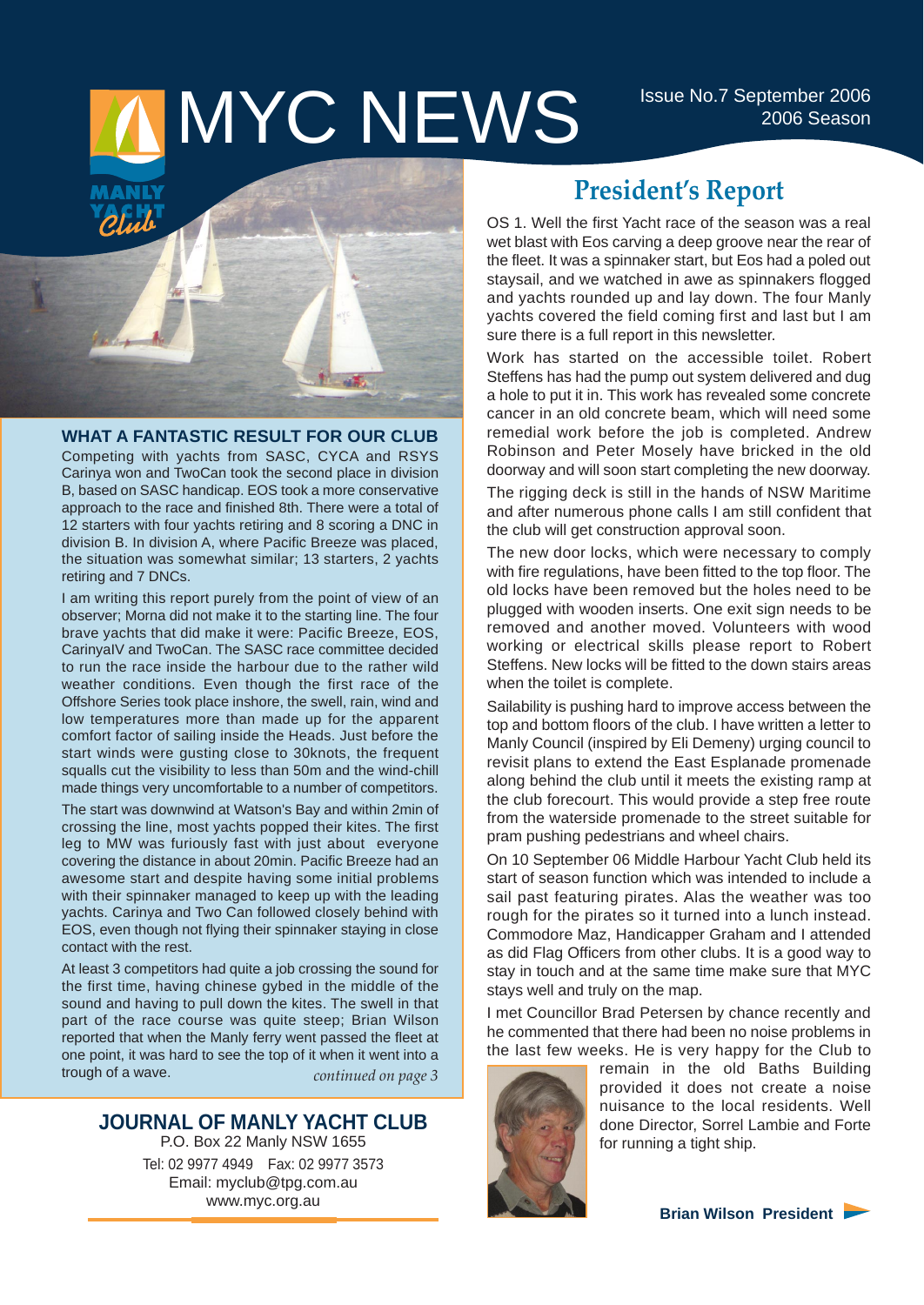# IMYC NEWS ISSUE No.7 September 2006



**WHAT A FANTASTIC RESULT FOR OUR CLUB** Competing with yachts from SASC, CYCA and RSYS Carinya won and TwoCan took the second place in division B, based on SASC handicap. EOS took a more conservative approach to the race and finished 8th. There were a total of 12 starters with four yachts retiring and 8 scoring a DNC in division B. In division A, where Pacific Breeze was placed,

the situation was somewhat similar; 13 starters, 2 yachts retiring and 7 DNCs. I am writing this report purely from the point of view of an observer; Morna did not make it to the starting line. The four

brave yachts that did make it were: Pacific Breeze, EOS, CarinyaIV and TwoCan. The SASC race committee decided to run the race inside the harbour due to the rather wild weather conditions. Even though the first race of the Offshore Series took place inshore, the swell, rain, wind and low temperatures more than made up for the apparent comfort factor of sailing inside the Heads. Just before the start winds were gusting close to 30knots, the frequent squalls cut the visibility to less than 50m and the wind-chill made things very uncomfortable to a number of competitors.

The start was downwind at Watson's Bay and within 2min of crossing the line, most yachts popped their kites. The first leg to MW was furiously fast with just about everyone covering the distance in about 20min. Pacific Breeze had an awesome start and despite having some initial problems with their spinnaker managed to keep up with the leading yachts. Carinya and Two Can followed closely behind with EOS, even though not flying their spinnaker staying in close contact with the rest.

At least 3 competitors had quite a job crossing the sound for the first time, having chinese gybed in the middle of the sound and having to pull down the kites. The swell in that part of the race course was quite steep; Brian Wilson reported that when the Manly ferry went passed the fleet at one point, it was hard to see the top of it when it went into a trough of a wave. *continued on page 3*

### **JOURNAL OF MANLY YACHT CLUB** P.O. Box 22 Manly NSW 1655

Tel: 02 9977 4949 Fax: 02 9977 3573 Email: myclub@tpg.com.au www.myc.org.au

## **President's Report**

OS 1. Well the first Yacht race of the season was a real wet blast with Eos carving a deep groove near the rear of the fleet. It was a spinnaker start, but Eos had a poled out staysail, and we watched in awe as spinnakers flogged and yachts rounded up and lay down. The four Manly yachts covered the field coming first and last but I am sure there is a full report in this newsletter.

Work has started on the accessible toilet. Robert Steffens has had the pump out system delivered and dug a hole to put it in. This work has revealed some concrete cancer in an old concrete beam, which will need some remedial work before the job is completed. Andrew Robinson and Peter Mosely have bricked in the old doorway and will soon start completing the new doorway. The rigging deck is still in the hands of NSW Maritime and after numerous phone calls I am still confident that

The new door locks, which were necessary to comply with fire regulations, have been fitted to the top floor. The old locks have been removed but the holes need to be plugged with wooden inserts. One exit sign needs to be removed and another moved. Volunteers with wood working or electrical skills please report to Robert Steffens. New locks will be fitted to the down stairs areas when the toilet is complete.

the club will get construction approval soon.

Sailability is pushing hard to improve access between the top and bottom floors of the club. I have written a letter to Manly Council (inspired by Eli Demeny) urging council to revisit plans to extend the East Esplanade promenade along behind the club until it meets the existing ramp at the club forecourt. This would provide a step free route from the waterside promenade to the street suitable for pram pushing pedestrians and wheel chairs.

On 10 September 06 Middle Harbour Yacht Club held its start of season function which was intended to include a sail past featuring pirates. Alas the weather was too rough for the pirates so it turned into a lunch instead. Commodore Maz, Handicapper Graham and I attended as did Flag Officers from other clubs. It is a good way to stay in touch and at the same time make sure that MYC stays well and truly on the map.

I met Councillor Brad Petersen by chance recently and he commented that there had been no noise problems in the last few weeks. He is very happy for the Club to



remain in the old Baths Building provided it does not create a noise nuisance to the local residents. Well done Director, Sorrel Lambie and Forte for running a tight ship.

**Brian Wilson President**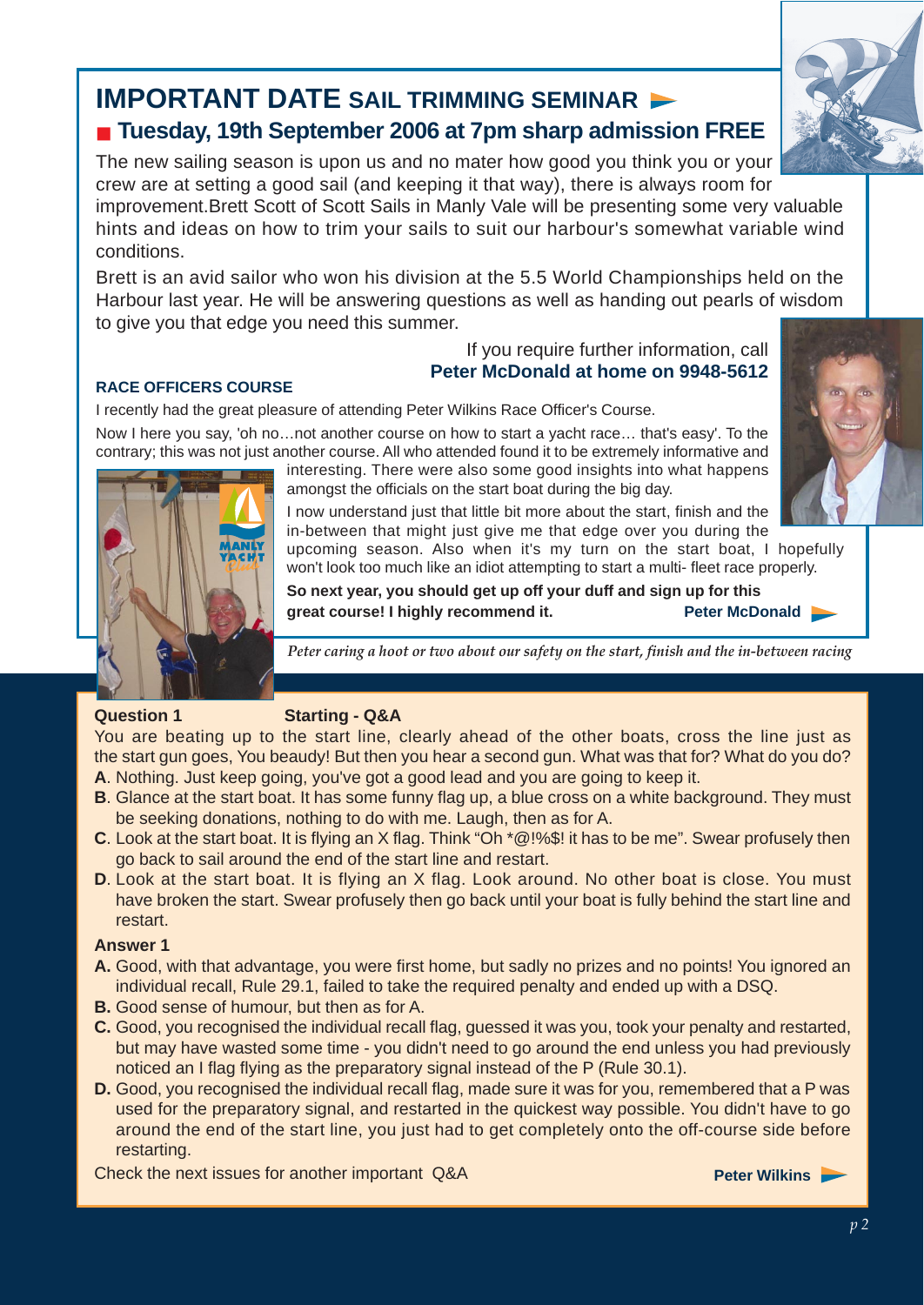## **IMPORTANT DATE SAIL TRIMMING SEMINAR**  ■ **Tuesday, 19th September 2006 at 7pm sharp admission FREE**

The new sailing season is upon us and no mater how good you think you or your crew are at setting a good sail (and keeping it that way), there is always room for

improvement.Brett Scott of Scott Sails in Manly Vale will be presenting some very valuable hints and ideas on how to trim your sails to suit our harbour's somewhat variable wind conditions.

Brett is an avid sailor who won his division at the 5.5 World Championships held on the Harbour last year. He will be answering questions as well as handing out pearls of wisdom to give you that edge you need this summer.

## **RACE OFFICERS COURSE**

I recently had the great pleasure of attending Peter Wilkins Race Officer's Course.

Now I here you say, 'oh no…not another course on how to start a yacht race… that's easy'. To the contrary; this was not just another course. All who attended found it to be extremely informative and interesting. There were also some good insights into what happens

amongst the officials on the start boat during the big day.

I now understand just that little bit more about the start, finish and the in-between that might just give me that edge over you during the

upcoming season. Also when it's my turn on the start boat, I hopefully won't look too much like an idiot attempting to start a multi- fleet race properly.

If you require further information, call **Peter McDonald at home on 9948-5612** 

**So next year, you should get up off your duff and sign up for this great course! I highly recommend it.** Peter McDonald

*Peter caring a hoot or two about our safety on the start, finish and the in-between racing*

## **Question 1 Starting - Q&A**

You are beating up to the start line, clearly ahead of the other boats, cross the line just as the start gun goes, You beaudy! But then you hear a second gun. What was that for? What do you do? **A**. Nothing. Just keep going, you've got a good lead and you are going to keep it.

- **B**. Glance at the start boat. It has some funny flag up, a blue cross on a white background. They must be seeking donations, nothing to do with me. Laugh, then as for A.
- **C**. Look at the start boat. It is flying an X flag. Think "Oh  $*@!%$ <sup> $\$ !</sup> it has to be me". Swear profusely then go back to sail around the end of the start line and restart.
- **D.** Look at the start boat. It is flying an X flag. Look around. No other boat is close. You must have broken the start. Swear profusely then go back until your boat is fully behind the start line and restart.

## **Answer 1**

- **A.** Good, with that advantage, you were first home, but sadly no prizes and no points! You ignored an individual recall, Rule 29.1, failed to take the required penalty and ended up with a DSQ.
- **B.** Good sense of humour, but then as for A.
- **C.** Good, you recognised the individual recall flag, guessed it was you, took your penalty and restarted, but may have wasted some time - you didn't need to go around the end unless you had previously noticed an I flag flying as the preparatory signal instead of the P (Rule 30.1).
- **D.** Good, you recognised the individual recall flag, made sure it was for you, remembered that a P was used for the preparatory signal, and restarted in the quickest way possible. You didn't have to go around the end of the start line, you just had to get completely onto the off-course side before restarting.

Check the next issues for another important Q&A **Peter Wilkins** 





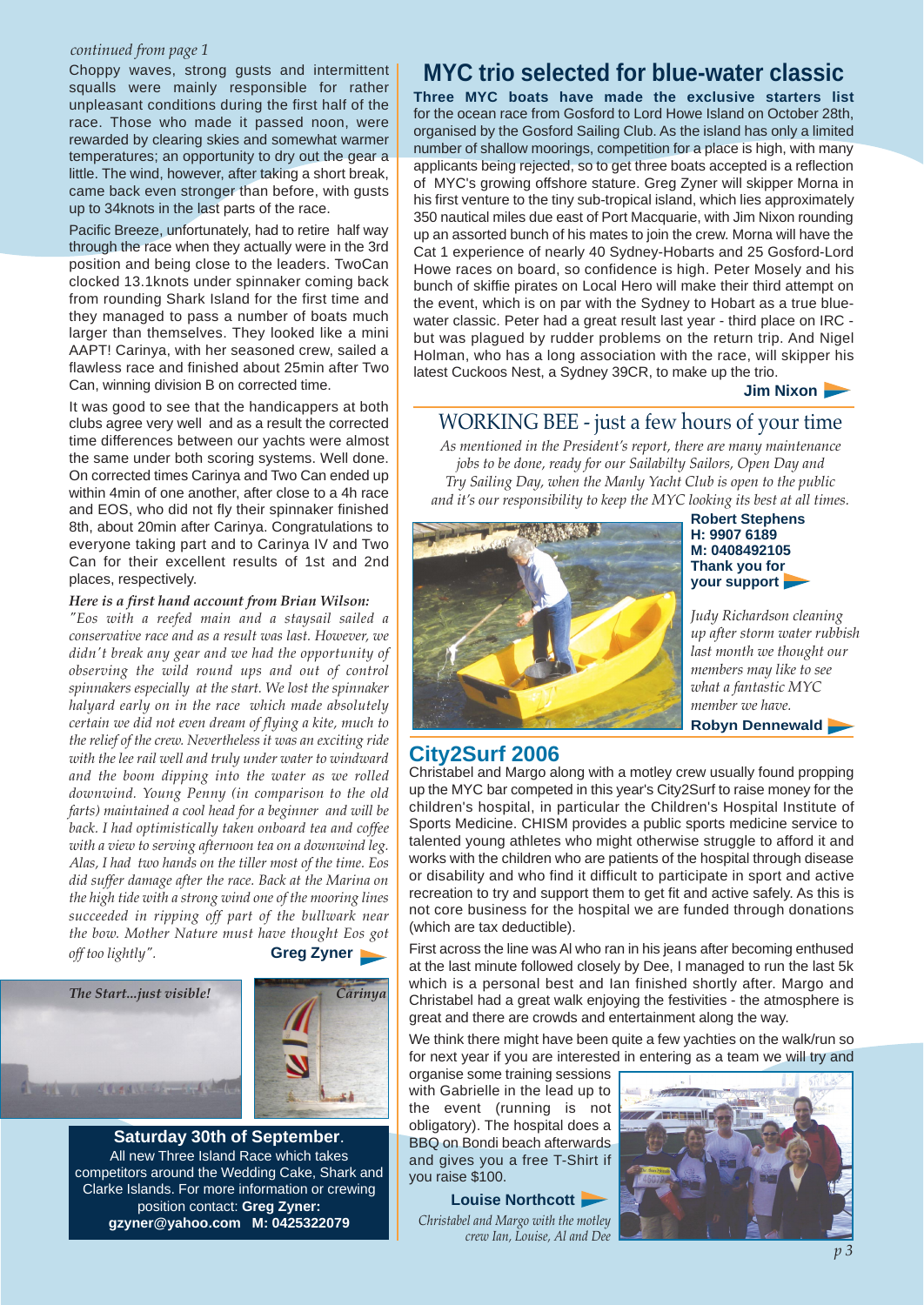#### *continued from page 1*

Choppy waves, strong gusts and intermittent squalls were mainly responsible for rather unpleasant conditions during the first half of the race. Those who made it passed noon, were rewarded by clearing skies and somewhat warmer temperatures; an opportunity to dry out the gear a little. The wind, however, after taking a short break, came back even stronger than before, with gusts up to 34knots in the last parts of the race.

Pacific Breeze, unfortunately, had to retire half way through the race when they actually were in the 3rd position and being close to the leaders. TwoCan clocked 13.1knots under spinnaker coming back from rounding Shark Island for the first time and they managed to pass a number of boats much larger than themselves. They looked like a mini AAPT! Carinya, with her seasoned crew, sailed a flawless race and finished about 25min after Two Can, winning division B on corrected time.

It was good to see that the handicappers at both clubs agree very well and as a result the corrected time differences between our yachts were almost the same under both scoring systems. Well done. On corrected times Carinya and Two Can ended up within 4min of one another, after close to a 4h race and EOS, who did not fly their spinnaker finished 8th, about 20min after Carinya. Congratulations to everyone taking part and to Carinya IV and Two Can for their excellent results of 1st and 2nd places, respectively.

#### *Here is a first hand account from Brian Wilson:*

*"Eos with a reefed main and a staysail sailed a conservative race and as a result was last. However, we didn't break any gear and we had the opportunity of observing the wild round ups and out of control spinnakers especially at the start. We lost the spinnaker halyard early on in the race which made absolutely certain we did not even dream of flying a kite, much to the relief of the crew. Nevertheless it was an exciting ride with the lee rail well and truly under water to windward and the boom dipping into the water as we rolled downwind. Young Penny (in comparison to the old farts) maintained a cool head for a beginner and will be back. I had optimistically taken onboard tea and coffee with a view to serving afternoon tea on a downwind leg. Alas, I had two hands on the tiller most of the time. Eos did suffer damage after the race. Back at the Marina on the high tide with a strong wind one of the mooring lines succeeded in ripping off part of the bullwark near the bow. Mother Nature must have thought Eos got off too lightly".* **Greg Zyner**





**Saturday 30th of September**. All new Three Island Race which takes competitors around the Wedding Cake, Shark and Clarke Islands. For more information or crewing position contact: **Greg Zyner: gzyner@yahoo.com M: 0425322079**

## **MYC trio selected for blue-water classic**

**Three MYC boats have made the exclusive starters list** for the ocean race from Gosford to Lord Howe Island on October 28th, organised by the Gosford Sailing Club. As the island has only a limited number of shallow moorings, competition for a place is high, with many applicants being rejected, so to get three boats accepted is a reflection of MYC's growing offshore stature. Greg Zyner will skipper Morna in his first venture to the tiny sub-tropical island, which lies approximately 350 nautical miles due east of Port Macquarie, with Jim Nixon rounding up an assorted bunch of his mates to join the crew. Morna will have the Cat 1 experience of nearly 40 Sydney-Hobarts and 25 Gosford-Lord Howe races on board, so confidence is high. Peter Mosely and his bunch of skiffie pirates on Local Hero will make their third attempt on the event, which is on par with the Sydney to Hobart as a true bluewater classic. Peter had a great result last year - third place on IRC but was plagued by rudder problems on the return trip. And Nigel Holman, who has a long association with the race, will skipper his latest Cuckoos Nest, a Sydney 39CR, to make up the trio.

#### **Jim Nixon**

### WORKING BEE - just a few hours of your time

*As mentioned in the President's report, there are many maintenance jobs to be done, ready for our Sailabilty Sailors, Open Day and Try Sailing Day, when the Manly Yacht Club is open to the public and it's our responsibility to keep the MYC looking its best at all times.* 



**Robert Stephens H: 9907 6189 M: 0408492105 Thank you for your support** 

*Judy Richardson cleaning up after storm water rubbish last month we thought our members may like to see what a fantastic MYC member we have.* **Robyn Dennewald** 

#### **City2Surf 2006**

Christabel and Margo along with a motley crew usually found propping up the MYC bar competed in this year's City2Surf to raise money for the children's hospital, in particular the Children's Hospital Institute of Sports Medicine. CHISM provides a public sports medicine service to talented young athletes who might otherwise struggle to afford it and works with the children who are patients of the hospital through disease or disability and who find it difficult to participate in sport and active recreation to try and support them to get fit and active safely. As this is not core business for the hospital we are funded through donations (which are tax deductible).

First across the line was Al who ran in his jeans after becoming enthused at the last minute followed closely by Dee, I managed to run the last 5k which is a personal best and Ian finished shortly after. Margo and Christabel had a great walk enjoying the festivities - the atmosphere is great and there are crowds and entertainment along the way.

We think there might have been quite a few yachties on the walk/run so for next year if you are interested in entering as a team we will try and

organise some training sessions with Gabrielle in the lead up to the event (running is not obligatory). The hospital does a BBQ on Bondi beach afterwards and gives you a free T-Shirt if you raise \$100.

**Louise Northcott** 

*Christabel and Margo with the motley crew Ian, Louise, Al and Dee*

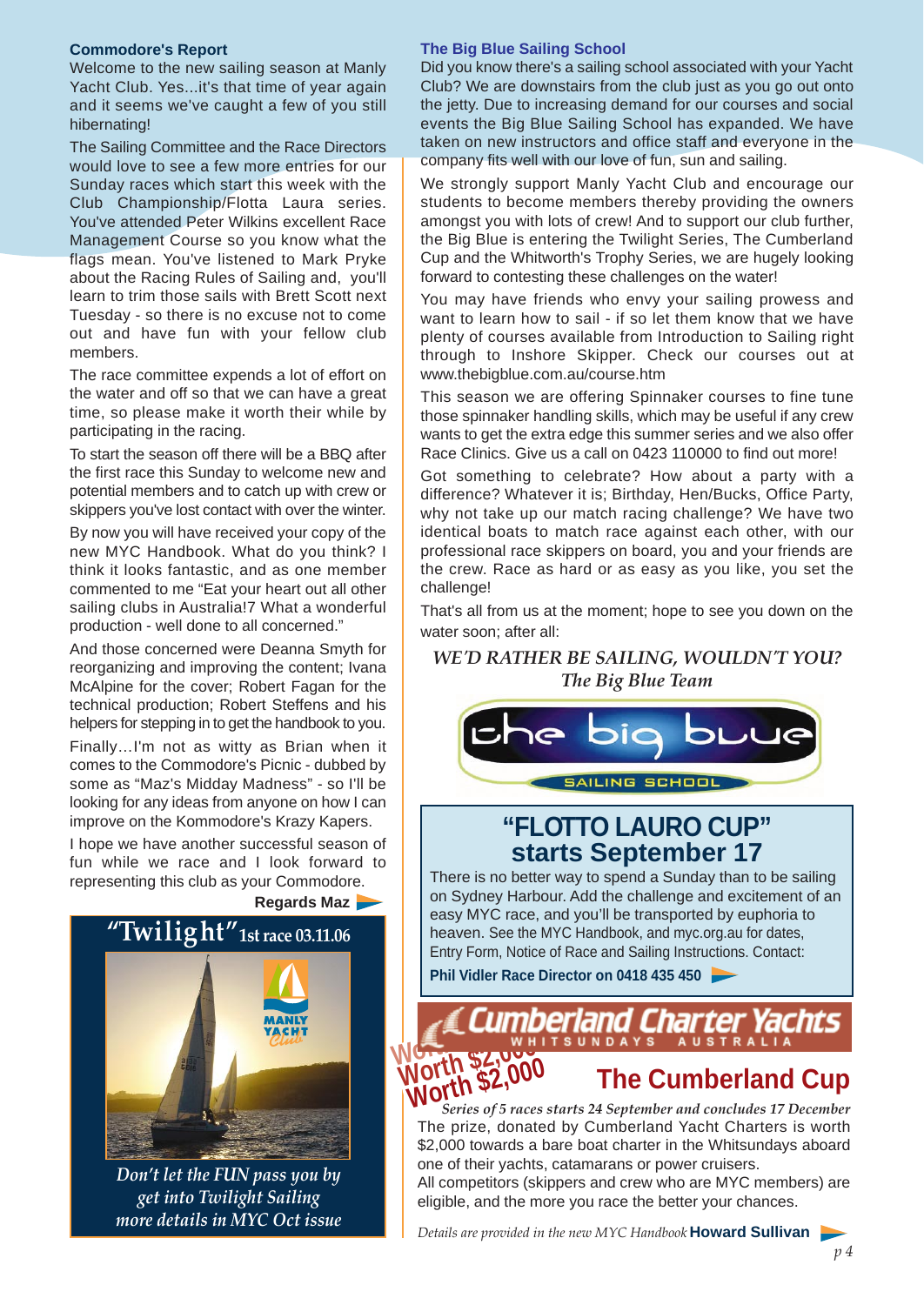#### **Commodore's Report**

Welcome to the new sailing season at Manly Yacht Club. Yes...it's that time of year again and it seems we've caught a few of you still hibernating!

The Sailing Committee and the Race Directors would love to see a few more entries for our Sunday races which start this week with the Club Championship/Flotta Laura series. You've attended Peter Wilkins excellent Race Management Course so you know what the flags mean. You've listened to Mark Pryke about the Racing Rules of Sailing and, you'll learn to trim those sails with Brett Scott next Tuesday - so there is no excuse not to come out and have fun with your fellow club members.

The race committee expends a lot of effort on the water and off so that we can have a great time, so please make it worth their while by participating in the racing.

To start the season off there will be a BBQ after the first race this Sunday to welcome new and potential members and to catch up with crew or skippers you've lost contact with over the winter.

By now you will have received your copy of the new MYC Handbook. What do you think? I think it looks fantastic, and as one member commented to me "Eat your heart out all other sailing clubs in Australia!7 What a wonderful production - well done to all concerned."

And those concerned were Deanna Smyth for reorganizing and improving the content; Ivana McAlpine for the cover; Robert Fagan for the technical production; Robert Steffens and his helpers for stepping in to get the handbook to you.

Finally…I'm not as witty as Brian when it comes to the Commodore's Picnic - dubbed by some as "Maz's Midday Madness" - so I'll be looking for any ideas from anyone on how I can improve on the Kommodore's Krazy Kapers.

I hope we have another successful season of fun while we race and I look forward to representing this club as your Commodore.



*Don't let the FUN pass you by get into Twilight Sailing more details in MYC Oct issue*

#### **The Big Blue Sailing School**

Did you know there's a sailing school associated with your Yacht Club? We are downstairs from the club just as you go out onto the jetty. Due to increasing demand for our courses and social events the Big Blue Sailing School has expanded. We have taken on new instructors and office staff and everyone in the company fits well with our love of fun, sun and sailing.

We strongly support Manly Yacht Club and encourage our students to become members thereby providing the owners amongst you with lots of crew! And to support our club further, the Big Blue is entering the Twilight Series, The Cumberland Cup and the Whitworth's Trophy Series, we are hugely looking forward to contesting these challenges on the water!

You may have friends who envy your sailing prowess and want to learn how to sail - if so let them know that we have plenty of courses available from Introduction to Sailing right through to Inshore Skipper. Check our courses out at www.thebigblue.com.au/course.htm

This season we are offering Spinnaker courses to fine tune those spinnaker handling skills, which may be useful if any crew wants to get the extra edge this summer series and we also offer Race Clinics. Give us a call on 0423 110000 to find out more!

Got something to celebrate? How about a party with a difference? Whatever it is; Birthday, Hen/Bucks, Office Party, why not take up our match racing challenge? We have two identical boats to match race against each other, with our professional race skippers on board, you and your friends are the crew. Race as hard or as easy as you like, you set the challenge!

That's all from us at the moment; hope to see you down on the water soon; after all:

## *WE'D RATHER BE SAILING, WOULDN'T YOU? The Big Blue Team*



## **"FLOTTO LAURO CUP" starts September 17**

There is no better way to spend a Sunday than to be sailing on Sydney Harbour. Add the challenge and excitement of an easy MYC race, and you'll be transported by euphoria to heaven. See the MYC Handbook, and myc.org.au for dates, Entry Form, Notice of Race and Sailing Instructions. Contact:

**Phil Vidler Race Director on 0418 435 450**

WORK STAND **Worth \$2,000** 

## **The Cumberland Cup** *Series of 5 races starts 24 September and concludes 17 December* **Worth \$2,000**

The prize, donated by Cumberland Yacht Charters is worth \$2,000 towards a bare boat charter in the Whitsundays aboard one of their yachts, catamarans or power cruisers.

All competitors (skippers and crew who are MYC members) are eligible, and the more you race the better your chances.

*Details are provided in the new MYC Handbook* **Howard Sullivan**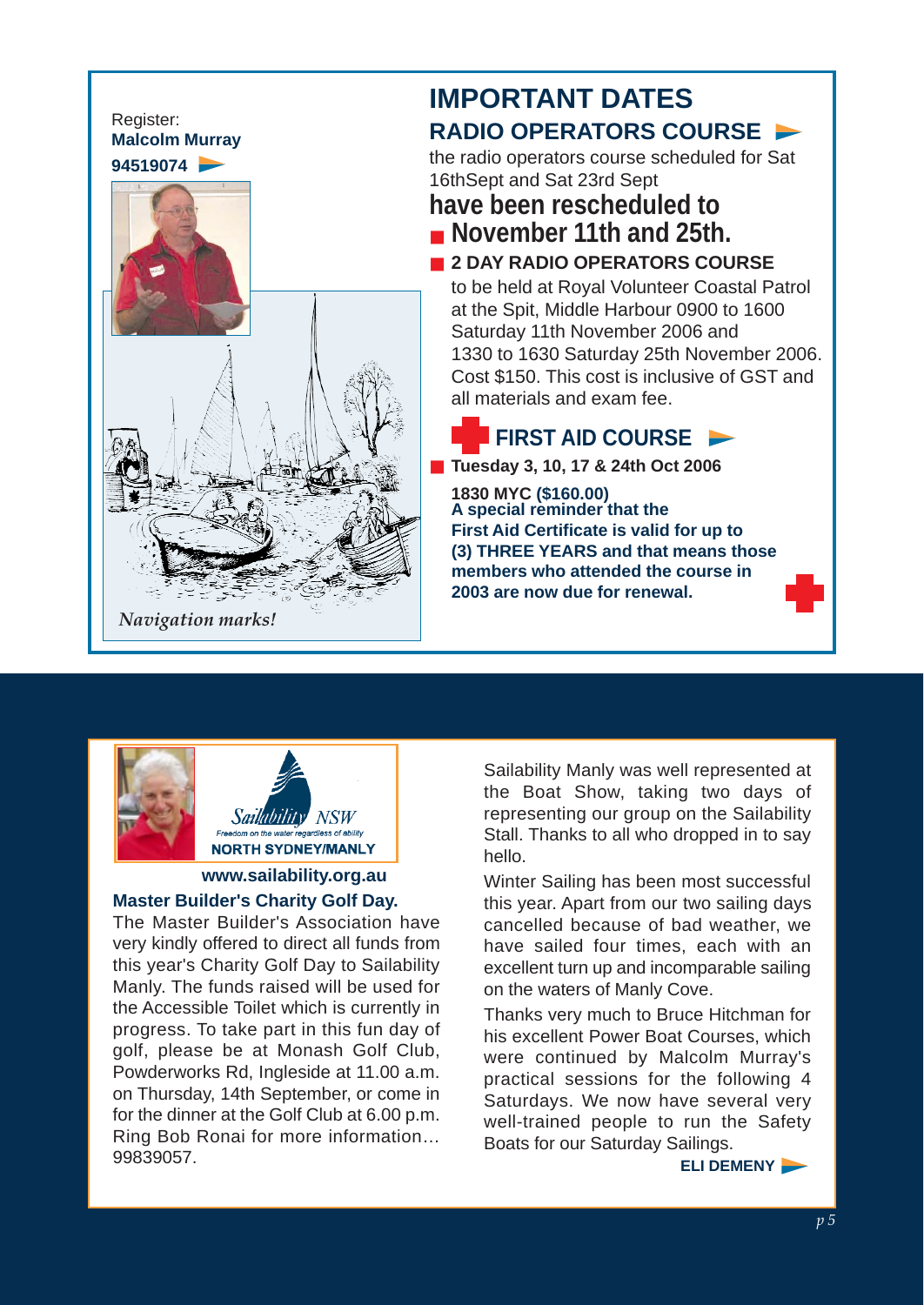## Register: **Malcolm Murray**



## **IMPORTANT DATES RADIO OPERATORS COURSE**

the radio operators course scheduled for Sat 16thSept and Sat 23rd Sept

## **have been rescheduled to**  ■ **November 11th and 25th.**

## ■ **2 DAY RADIO OPERATORS COURSE**

to be held at Royal Volunteer Coastal Patrol at the Spit, Middle Harbour 0900 to 1600 Saturday 11th November 2006 and 1330 to 1630 Saturday 25th November 2006. Cost \$150. This cost is inclusive of GST and all materials and exam fee.

## **FIRST AID COURSE**

■ **Tuesday 3, 10, 17 & 24th Oct 2006** 

**1830 MYC (\$160.00) A special reminder that the First Aid Certificate is valid for up to (3) THREE YEARS and that means those members who attended the course in 2003 are now due for renewal.**



## **www.sailability.org.au**

**Master Builder's Charity Golf Day.** 

The Master Builder's Association have very kindly offered to direct all funds from this year's Charity Golf Day to Sailability Manly. The funds raised will be used for the Accessible Toilet which is currently in progress. To take part in this fun day of golf, please be at Monash Golf Club, Powderworks Rd, Ingleside at 11.00 a.m. on Thursday, 14th September, or come in for the dinner at the Golf Club at 6.00 p.m. Ring Bob Ronai for more information… 99839057.

Sailability Manly was well represented at the Boat Show, taking two days of representing our group on the Sailability Stall. Thanks to all who dropped in to say hello.

Winter Sailing has been most successful this year. Apart from our two sailing days cancelled because of bad weather, we have sailed four times, each with an excellent turn up and incomparable sailing on the waters of Manly Cove.

Thanks very much to Bruce Hitchman for his excellent Power Boat Courses, which were continued by Malcolm Murray's practical sessions for the following 4 Saturdays. We now have several very well-trained people to run the Safety Boats for our Saturday Sailings.

**ELI DEMENY**